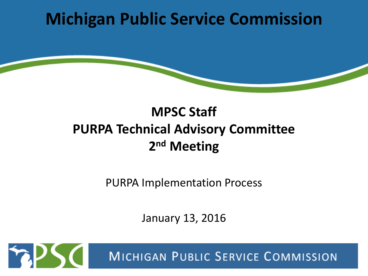#### **Michigan Public Service Commission**

#### **MPSC Staff PURPA Technical Advisory Committee 2nd Meeting**

PURPA Implementation Process

January 13, 2016

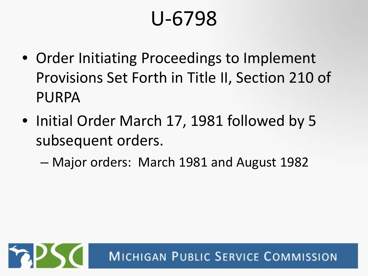### U-6798

- Order Initiating Proceedings to Implement Provisions Set Forth in Title II, Section 210 of PURPA
- Initial Order March 17, 1981 followed by 5 subsequent orders.

– Major orders: March 1981 and August 1982

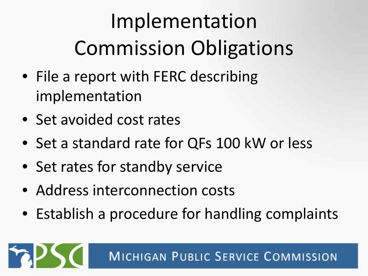# Implementation Commission Obligations

- File a report with FERC describing implementation
- Set avoided cost rates
- Set a standard rate for QFs 100 kW or less
- Set rates for standby service
- Address interconnection costs
- Establish a procedure for handling complaints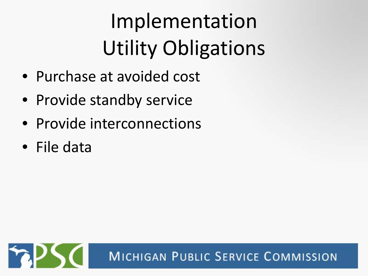# Implementation Utility Obligations

- Purchase at avoided cost
- Provide standby service
- Provide interconnections
- File data

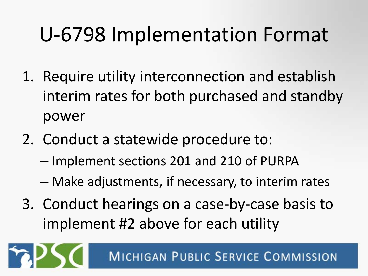### U-6798 Implementation Format

- 1. Require utility interconnection and establish interim rates for both purchased and standby power
- 2. Conduct a statewide procedure to:
	- Implement sections 201 and 210 of PURPA
	- Make adjustments, if necessary, to interim rates
- 3. Conduct hearings on a case-by-case basis to implement #2 above for each utility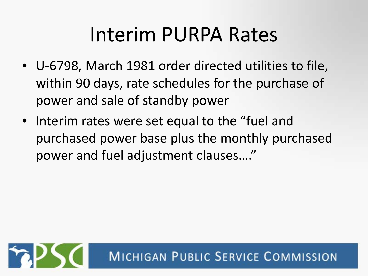### Interim PURPA Rates

- U-6798, March 1981 order directed utilities to file, within 90 days, rate schedules for the purchase of power and sale of standby power
- Interim rates were set equal to the "fuel and purchased power base plus the monthly purchased power and fuel adjustment clauses…."

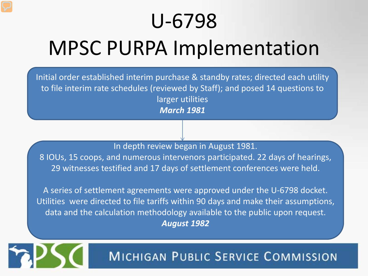# U-6798 MPSC PURPA Implementation

Initial order established interim purchase & standby rates; directed each utility to file interim rate schedules (reviewed by Staff); and posed 14 questions to larger utilities *March 1981*

In depth review began in August 1981.

8 IOUs, 15 coops, and numerous intervenors participated. 22 days of hearings, 29 witnesses testified and 17 days of settlement conferences were held.

A series of settlement agreements were approved under the U-6798 docket. Utilities were directed to file tariffs within 90 days and make their assumptions, data and the calculation methodology available to the public upon request. *August 1982*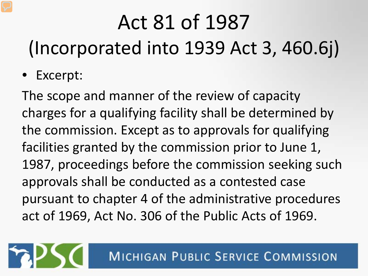## Act 81 of 1987 (Incorporated into 1939 Act 3, 460.6j)

• Excerpt:

The scope and manner of the review of capacity charges for a qualifying facility shall be determined by the commission. Except as to approvals for qualifying facilities granted by the commission prior to June 1, 1987, proceedings before the commission seeking such approvals shall be conducted as a contested case pursuant to chapter 4 of the administrative procedures act of 1969, Act No. 306 of the Public Acts of 1969.